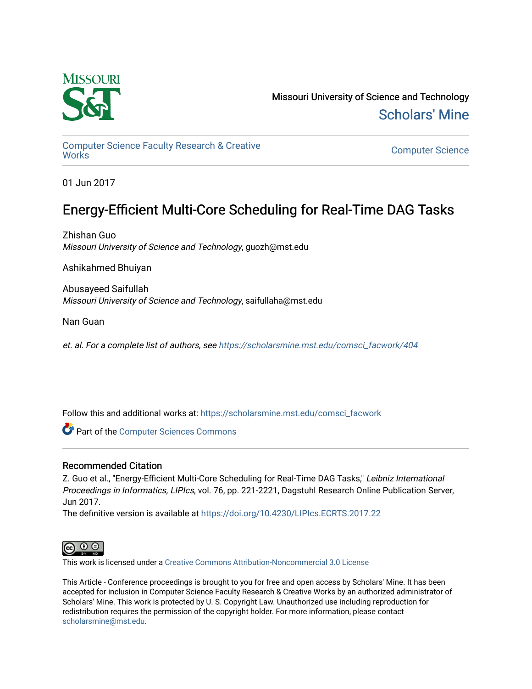

Missouri University of Science and Technology [Scholars' Mine](https://scholarsmine.mst.edu/) 

[Computer Science Faculty Research & Creative](https://scholarsmine.mst.edu/comsci_facwork) 

**Computer Science** 

01 Jun 2017

# Energy-Efficient Multi-Core Scheduling for Real-Time DAG Tasks

Zhishan Guo Missouri University of Science and Technology, guozh@mst.edu

Ashikahmed Bhuiyan

Abusayeed Saifullah Missouri University of Science and Technology, saifullaha@mst.edu

Nan Guan

et. al. For a complete list of authors, see [https://scholarsmine.mst.edu/comsci\\_facwork/404](https://scholarsmine.mst.edu/comsci_facwork/404) 

Follow this and additional works at: [https://scholarsmine.mst.edu/comsci\\_facwork](https://scholarsmine.mst.edu/comsci_facwork?utm_source=scholarsmine.mst.edu%2Fcomsci_facwork%2F404&utm_medium=PDF&utm_campaign=PDFCoverPages) 

**Part of the [Computer Sciences Commons](http://network.bepress.com/hgg/discipline/142?utm_source=scholarsmine.mst.edu%2Fcomsci_facwork%2F404&utm_medium=PDF&utm_campaign=PDFCoverPages)** 

## Recommended Citation

Z. Guo et al., "Energy-Efficient Multi-Core Scheduling for Real-Time DAG Tasks," Leibniz International Proceedings in Informatics, LIPIcs, vol. 76, pp. 221-2221, Dagstuhl Research Online Publication Server, Jun 2017.

The definitive version is available at <https://doi.org/10.4230/LIPIcs.ECRTS.2017.22>



This work is licensed under a [Creative Commons Attribution-Noncommercial 3.0 License](https://creativecommons.org/licenses/by-nc/3.0/) 

This Article - Conference proceedings is brought to you for free and open access by Scholars' Mine. It has been accepted for inclusion in Computer Science Faculty Research & Creative Works by an authorized administrator of Scholars' Mine. This work is protected by U. S. Copyright Law. Unauthorized use including reproduction for redistribution requires the permission of the copyright holder. For more information, please contact [scholarsmine@mst.edu.](mailto:scholarsmine@mst.edu)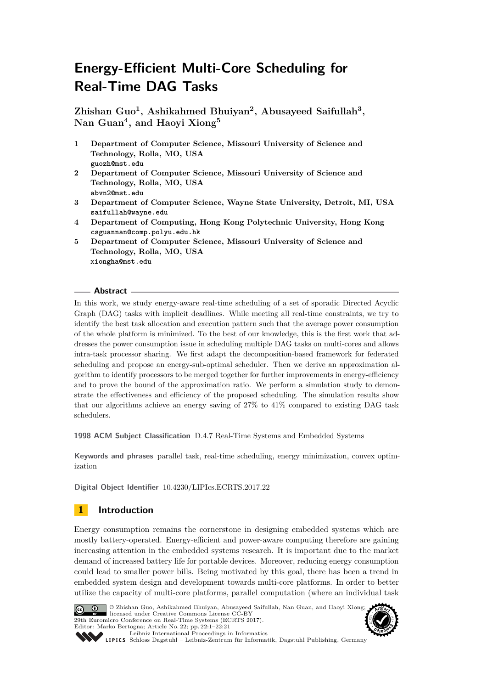# **Energy-Efficient Multi-Core Scheduling for Real-Time DAG Tasks**

**Zhishan Guo<sup>1</sup> , Ashikahmed Bhuiyan<sup>2</sup> , Abusayeed Saifullah<sup>3</sup> , Nan Guan<sup>4</sup> , and Haoyi Xiong<sup>5</sup>**

- **1 Department of Computer Science, Missouri University of Science and Technology, Rolla, MO, USA guozh@mst.edu**
- **2 Department of Computer Science, Missouri University of Science and Technology, Rolla, MO, USA abvn2@mst.edu**
- **3 Department of Computer Science, Wayne State University, Detroit, MI, USA saifullah@wayne.edu**
- **4 Department of Computing, Hong Kong Polytechnic University, Hong Kong csguannan@comp.polyu.edu.hk**
- **5 Department of Computer Science, Missouri University of Science and Technology, Rolla, MO, USA xiongha@mst.edu**

#### **Abstract**

In this work, we study energy-aware real-time scheduling of a set of sporadic Directed Acyclic Graph (DAG) tasks with implicit deadlines. While meeting all real-time constraints, we try to identify the best task allocation and execution pattern such that the average power consumption of the whole platform is minimized. To the best of our knowledge, this is the first work that addresses the power consumption issue in scheduling multiple DAG tasks on multi-cores and allows intra-task processor sharing. We first adapt the decomposition-based framework for federated scheduling and propose an energy-sub-optimal scheduler. Then we derive an approximation algorithm to identify processors to be merged together for further improvements in energy-efficiency and to prove the bound of the approximation ratio. We perform a simulation study to demonstrate the effectiveness and efficiency of the proposed scheduling. The simulation results show that our algorithms achieve an energy saving of 27% to 41% compared to existing DAG task schedulers.

**1998 ACM Subject Classification** D.4.7 Real-Time Systems and Embedded Systems

**Keywords and phrases** parallel task, real-time scheduling, energy minimization, convex optimization

**Digital Object Identifier** [10.4230/LIPIcs.ECRTS.2017.22](http://dx.doi.org/10.4230/LIPIcs.ECRTS.2017.22)

# <span id="page-1-0"></span>**1 Introduction**

Energy consumption remains the cornerstone in designing embedded systems which are mostly battery-operated. Energy-efficient and power-aware computing therefore are gaining increasing attention in the embedded systems research. It is important due to the market demand of increased battery life for portable devices. Moreover, reducing energy consumption could lead to smaller power bills. Being motivated by this goal, there has been a trend in embedded system design and development towards multi-core platforms. In order to better utilize the capacity of multi-core platforms, parallel computation (where an individual task



© Zhishan Guo, Ashikahmed Bhuiyan, Abusayeed Saifullah, Nan Guan, and Haoyi Xiong; licensed under Creative Commons License CC-BY 29th Euromicro Conference on Real-Time Systems (ECRTS 2017). Editor: Marko Bertogna; Article No. 22; pp. 22:1–22[:21](#page-21-0) [Leibniz International Proceedings in Informatics](http://www.dagstuhl.de/lipics/)



[Schloss Dagstuhl – Leibniz-Zentrum für Informatik, Dagstuhl Publishing, Germany](http://www.dagstuhl.de)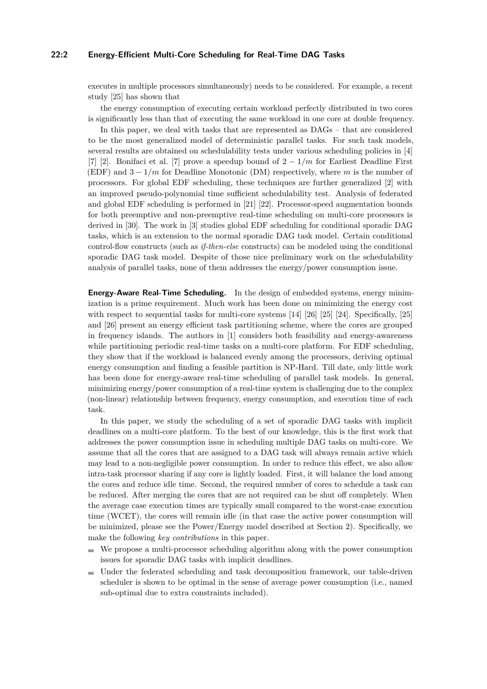#### **22:2 Energy-Efficient Multi-Core Scheduling for Real-Time DAG Tasks**

executes in multiple processors simultaneously) needs to be considered. For example, a recent study [\[25\]](#page-19-0) has shown that

the energy consumption of executing certain workload perfectly distributed in two cores is significantly less than that of executing the same workload in one core at double frequency.

In this paper, we deal with tasks that are represented as DAGs – that are considered to be the most generalized model of deterministic parallel tasks. For such task models, several results are obtained on schedulability tests under various scheduling policies in [\[4\]](#page-18-0) [\[7\]](#page-18-1) [\[2\]](#page-18-2). Bonifaci et al. [\[7\]](#page-18-1) prove a speedup bound of 2 − 1*/m* for Earliest Deadline First (EDF) and 3 − 1*/m* for Deadline Monotonic (DM) respectively, where *m* is the number of processors. For global EDF scheduling, these techniques are further generalized [\[2\]](#page-18-2) with an improved pseudo-polynomial time sufficient schedulability test. Analysis of federated and global EDF scheduling is performed in [\[21\]](#page-19-1) [\[22\]](#page-19-2). Processor-speed augmentation bounds for both preemptive and non-preemptive real-time scheduling on multi-core processors is derived in [\[30\]](#page-20-0). The work in [\[3\]](#page-18-3) studies global EDF scheduling for conditional sporadic DAG tasks, which is an extension to the normal sporadic DAG task model. Certain conditional control-flow constructs (such as *if-then-else* constructs) can be modeled using the conditional sporadic DAG task model. Despite of those nice preliminary work on the schedulability analysis of parallel tasks, none of them addresses the energy/power consumption issue.

**Energy-Aware Real-Time Scheduling.** In the design of embedded systems, energy minimization is a prime requirement. Much work has been done on minimizing the energy cost with respect to sequential tasks for multi-core systems [\[14\]](#page-19-3) [\[26\]](#page-19-4) [\[25\]](#page-19-0) [\[24\]](#page-19-5). Specifically, [25] and [\[26\]](#page-19-4) present an energy efficient task partitioning scheme, where the cores are grouped in frequency islands. The authors in [\[1\]](#page-18-4) considers both feasibility and energy-awareness while partitioning periodic real-time tasks on a multi-core platform. For EDF scheduling, they show that if the workload is balanced evenly among the processors, deriving optimal energy consumption and finding a feasible partition is NP-Hard. Till date, only little work has been done for energy-aware real-time scheduling of parallel task models. In general, minimizing energy/power consumption of a real-time system is challenging due to the complex (non-linear) relationship between frequency, energy consumption, and execution time of each task.

In this paper, we study the scheduling of a set of sporadic DAG tasks with implicit deadlines on a multi-core platform. To the best of our knowledge, this is the first work that addresses the power consumption issue in scheduling multiple DAG tasks on multi-core. We assume that all the cores that are assigned to a DAG task will always remain active which may lead to a non-negligible power consumption. In order to reduce this effect, we also allow intra-task processor sharing if any core is lightly loaded. First, it will balance the load among the cores and reduce idle time. Second, the required number of cores to schedule a task can be reduced. After merging the cores that are not required can be shut off completely. When the average case execution times are typically small compared to the worst-case execution time (WCET), the cores will remain idle (in that case the active power consumption will be minimized, please see the Power/Energy model described at Section [2\)](#page-3-0). Specifically, we make the following *key contributions* in this paper.

- We propose a multi-processor scheduling algorithm along with the power consumption issues for sporadic DAG tasks with implicit deadlines.
- Under the federated scheduling and task decomposition framework, our table-driven scheduler is shown to be optimal in the sense of average power consumption (i.e., named sub-optimal due to extra constraints included).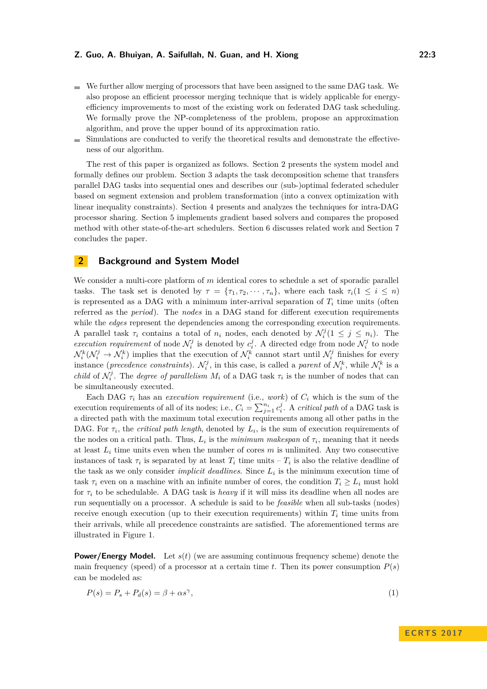- We further allow merging of processors that have been assigned to the same DAG task. We also propose an efficient processor merging technique that is widely applicable for energyefficiency improvements to most of the existing work on federated DAG task scheduling. We formally prove the NP-completeness of the problem, propose an approximation algorithm, and prove the upper bound of its approximation ratio.
- Simulations are conducted to verify the theoretical results and demonstrate the effectiveness of our algorithm.

The rest of this paper is organized as follows. Section [2](#page-3-0) presents the system model and formally defines our problem. Section [3](#page-5-0) adapts the task decomposition scheme that transfers parallel DAG tasks into sequential ones and describes our (sub-)optimal federated scheduler based on segment extension and problem transformation (into a convex optimization with linear inequality constraints). Section [4](#page-11-0) presents and analyzes the techniques for intra-DAG processor sharing. Section [5](#page-14-0) implements gradient based solvers and compares the proposed method with other state-of-the-art schedulers. Section [6](#page-17-0) discusses related work and Section [7](#page-18-5) concludes the paper.

## <span id="page-3-0"></span>**2 Background and System Model**

We consider a multi-core platform of *m* identical cores to schedule a set of sporadic parallel tasks. The task set is denoted by  $\tau = {\tau_1, \tau_2, \dots, \tau_n}$ , where each task  $\tau_i(1 \leq i \leq n)$ is represented as a DAG with a minimum inter-arrival separation of  $T_i$  time units (often referred as the *period*). The *nodes* in a DAG stand for different execution requirements while the *edges* represent the dependencies among the corresponding execution requirements. A parallel task  $\tau_i$  contains a total of  $n_i$  nodes, each denoted by  $\mathcal{N}_i^j (1 \leq j \leq n_i)$ . The *execution requirement* of node  $\mathcal{N}_i^j$  is denoted by  $c_i^j$ . A directed edge from node  $\mathcal{N}_i^j$  to node  $\mathcal{N}_i^k(\mathcal{N}_i^j \to \mathcal{N}_i^k)$  implies that the execution of  $\mathcal{N}_i^k$  cannot start until  $\mathcal{N}_i^j$  finishes for every instance (*precedence constraints*).  $\mathcal{N}_i^j$ , in this case, is called a *parent* of  $\mathcal{N}_i^k$ , while  $\mathcal{N}_i^k$  is a *child* of  $\mathcal{N}_i^j$ . The *degree of parallelism*  $M_i$  of a DAG task  $\tau_i$  is the number of nodes that can be simultaneously executed.

Each DAG  $\tau_i$  has an *execution requirement* (i.e., *work*) of  $C_i$  which is the sum of the execution requirements of all of its nodes; i.e.,  $C_i = \sum_{j=1}^{n_i} c_i^j$ . A *critical path* of a DAG task is a directed path with the maximum total execution requirements among all other paths in the DAG. For  $\tau_i$ , the *critical path length*, denoted by  $L_i$ , is the sum of execution requirements of the nodes on a critical path. Thus,  $L_i$  is the *minimum makespan* of  $\tau_i$ , meaning that it needs at least  $L_i$  time units even when the number of cores  $m$  is unlimited. Any two consecutive instances of task  $\tau_i$  is separated by at least  $T_i$  time units  $-T_i$  is also the relative deadline of the task as we only consider *implicit deadlines*. Since  $L_i$  is the minimum execution time of task  $\tau_i$  even on a machine with an infinite number of cores, the condition  $T_i \geq L_i$  must hold for *τ<sup>i</sup>* to be schedulable. A DAG task is *heavy* if it will miss its deadline when all nodes are run sequentially on a processor. A schedule is said to be *feasible* when all sub-tasks (nodes) receive enough execution (up to their execution requirements) within  $T_i$  time units from their arrivals, while all precedence constraints are satisfied. The aforementioned terms are illustrated in Figure [1.](#page-4-0)

**Power/Energy Model.** Let  $s(t)$  (we are assuming continuous frequency scheme) denote the main frequency (speed) of a processor at a certain time  $t$ . Then its power consumption  $P(s)$ can be modeled as:

$$
P(s) = P_s + P_d(s) = \beta + \alpha s^{\gamma},\tag{1}
$$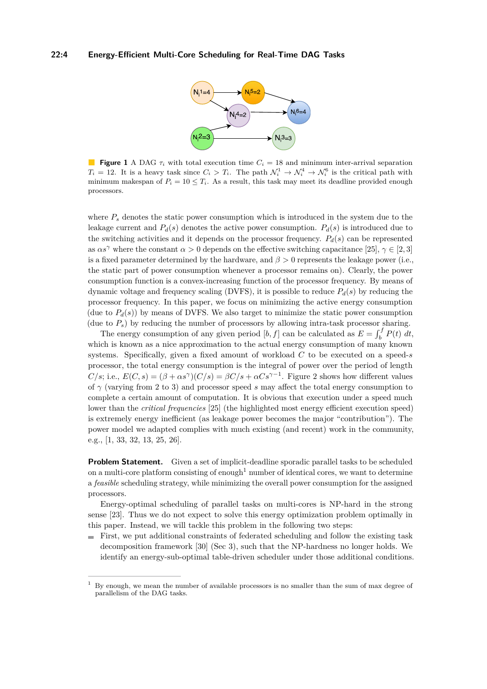

<span id="page-4-0"></span>**Figure 1** A DAG  $\tau_i$  with total execution time  $C_i = 18$  and minimum inter-arrival separation  $T_i = 12$ . It is a heavy task since  $C_i > T_i$ . The path  $\mathcal{N}_i^1 \to \mathcal{N}_i^4 \to \mathcal{N}_i^6$  is the critical path with minimum makespan of  $P_i = 10 \leq T_i$ . As a result, this task may meet its deadline provided enough processors.

where  $P_s$  denotes the static power consumption which is introduced in the system due to the leakage current and  $P_d(s)$  denotes the active power consumption.  $P_d(s)$  is introduced due to the switching activities and it depends on the processor frequency.  $P_d(s)$  can be represented as  $\alpha s^{\gamma}$  where the constant  $\alpha > 0$  depends on the effective switching capacitance [\[25\]](#page-19-0),  $\gamma \in [2, 3]$ is a fixed parameter determined by the hardware, and  $\beta > 0$  represents the leakage power (i.e., the static part of power consumption whenever a processor remains on). Clearly, the power consumption function is a convex-increasing function of the processor frequency. By means of dynamic voltage and frequency scaling (DVFS), it is possible to reduce  $P_d(s)$  by reducing the processor frequency. In this paper, we focus on minimizing the active energy consumption (due to  $P_d(s)$ ) by means of DVFS. We also target to minimize the static power consumption (due to  $P_s$ ) by reducing the number of processors by allowing intra-task processor sharing.

The energy consumption of any given period  $[b, f]$  can be calculated as  $E = \int_b^f P(t) dt$ , which is known as a nice approximation to the actual energy consumption of many known systems. Specifically, given a fixed amount of workload *C* to be executed on a speed-*s* processor, the total energy consumption is the integral of power over the period of length  $C/s$ ; i.e.,  $E(C, s) = (\beta + \alpha s^{\gamma})(C/s) = \beta C/s + \alpha Cs^{\gamma-1}$ . Figure [2](#page-5-1) shows how different values of *γ* (varying from 2 to 3) and processor speed *s* may affect the total energy consumption to complete a certain amount of computation. It is obvious that execution under a speed much lower than the *critical frequencies* [\[25\]](#page-19-0) (the highlighted most energy efficient execution speed) is extremely energy inefficient (as leakage power becomes the major "contribution"). The power model we adapted complies with much existing (and recent) work in the community, e.g., [\[1,](#page-18-4) [33,](#page-20-1) [32,](#page-20-2) [13,](#page-19-6) [25,](#page-19-0) [26\]](#page-19-4).

**Problem Statement.** Given a set of implicit-deadline sporadic parallel tasks to be scheduled on a multi-core platform consisting of enough<sup>[1](#page-4-1)</sup> number of identical cores, we want to determine a *feasible* scheduling strategy, while minimizing the overall power consumption for the assigned processors.

Energy-optimal scheduling of parallel tasks on multi-cores is NP-hard in the strong sense [\[23\]](#page-19-7). Thus we do not expect to solve this energy optimization problem optimally in this paper. Instead, we will tackle this problem in the following two steps:

First, we put additional constraints of federated scheduling and follow the existing task decomposition framework [\[30\]](#page-20-0) (Sec [3\)](#page-5-0), such that the NP-hardness no longer holds. We identify an energy-sub-optimal table-driven scheduler under those additional conditions.

<span id="page-4-1"></span><sup>1</sup> By enough, we mean the number of available processors is no smaller than the sum of max degree of parallelism of the DAG tasks.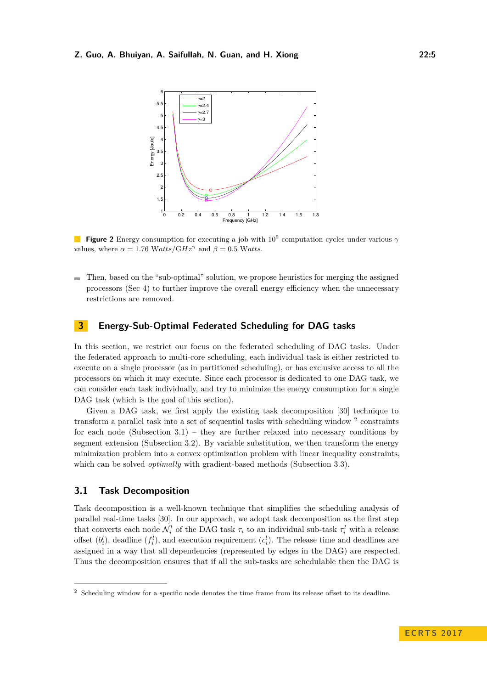<span id="page-5-1"></span>

**Figure 2** Energy consumption for executing a job with 10<sup>9</sup> computation cycles under various *γ* values, where  $\alpha = 1.76 \text{ Watts}/\text{GHz}^{\gamma}$  and  $\beta = 0.5 \text{ Watts}.$ 

Then, based on the "sub-optimal" solution, we propose heuristics for merging the assigned  $\rightarrow$ processors (Sec [4\)](#page-11-0) to further improve the overall energy efficiency when the unnecessary restrictions are removed.

## <span id="page-5-0"></span>**3 Energy-Sub-Optimal Federated Scheduling for DAG tasks**

In this section, we restrict our focus on the federated scheduling of DAG tasks. Under the federated approach to multi-core scheduling, each individual task is either restricted to execute on a single processor (as in partitioned scheduling), or has exclusive access to all the processors on which it may execute. Since each processor is dedicated to one DAG task, we can consider each task individually, and try to minimize the energy consumption for a single DAG task (which is the goal of this section).

Given a DAG task, we first apply the existing task decomposition [\[30\]](#page-20-0) technique to transform a parallel task into a set of sequential tasks with scheduling window <sup>[2](#page-5-2)</sup> constraints for each node (Subsection  $3.1$ ) – they are further relaxed into necessary conditions by segment extension (Subsection [3.2\)](#page-6-0). By variable substitution, we then transform the energy minimization problem into a convex optimization problem with linear inequality constraints, which can be solved *optimally* with gradient-based methods (Subsection [3.3\)](#page-8-0).

## <span id="page-5-3"></span>**3.1 Task Decomposition**

Task decomposition is a well-known technique that simplifies the scheduling analysis of parallel real-time tasks [\[30\]](#page-20-0). In our approach, we adopt task decomposition as the first step that converts each node  $\mathcal{N}_i^l$  of the DAG task  $\tau_i$  to an individual sub-task  $\tau_i^l$  with a release offset  $(b_i^l)$ , deadline  $(f_i^l)$ , and execution requirement  $(c_i^l)$ . The release time and deadlines are assigned in a way that all dependencies (represented by edges in the DAG) are respected. Thus the decomposition ensures that if all the sub-tasks are schedulable then the DAG is

<span id="page-5-2"></span><sup>2</sup> Scheduling window for a specific node denotes the time frame from its release offset to its deadline.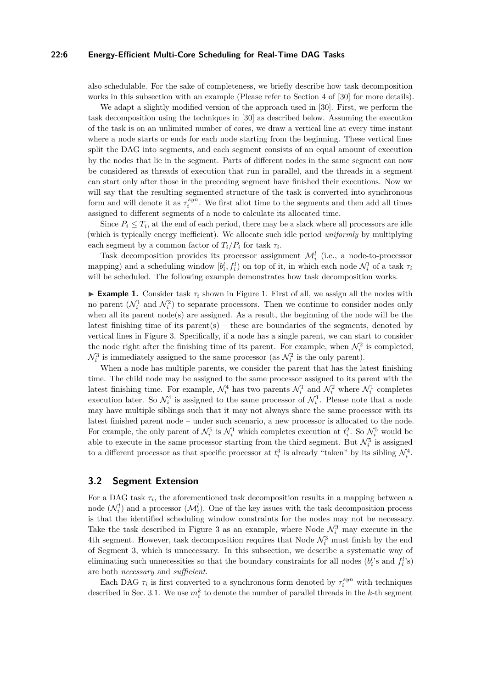#### **22:6 Energy-Efficient Multi-Core Scheduling for Real-Time DAG Tasks**

also schedulable. For the sake of completeness, we briefly describe how task decomposition works in this subsection with an example (Please refer to Section 4 of [\[30\]](#page-20-0) for more details).

We adapt a slightly modified version of the approach used in [\[30\]](#page-20-0). First, we perform the task decomposition using the techniques in [\[30\]](#page-20-0) as described below. Assuming the execution of the task is on an unlimited number of cores, we draw a vertical line at every time instant where a node starts or ends for each node starting from the beginning. These vertical lines split the DAG into segments, and each segment consists of an equal amount of execution by the nodes that lie in the segment. Parts of different nodes in the same segment can now be considered as threads of execution that run in parallel, and the threads in a segment can start only after those in the preceding segment have finished their executions. Now we will say that the resulting segmented structure of the task is converted into synchronous form and will denote it as  $\tau_i^{syn}$ . We first allot time to the segments and then add all times assigned to different segments of a node to calculate its allocated time.

Since  $P_i \leq T_i$ , at the end of each period, there may be a slack where all processors are idle (which is typically energy inefficient). We allocate such idle period *uniformly* by multiplying each segment by a common factor of  $T_i/P_i$  for task  $\tau_i$ .

Task decomposition provides its processor assignment  $\mathcal{M}_i^l$  (i.e., a node-to-processor mapping) and a scheduling window  $[b_i^l, f_i^l)$  on top of it, in which each node  $\mathcal{N}_i^l$  of a task  $\tau_i$ will be scheduled. The following example demonstrates how task decomposition works.

**Example [1.](#page-4-0)** Consider task  $\tau_i$  shown in Figure 1. First of all, we assign all the nodes with no parent  $(\mathcal{N}_i^1$  and  $\mathcal{N}_i^2)$  to separate processors. Then we continue to consider nodes only when all its parent  $node(s)$  are assigned. As a result, the beginning of the node will be the latest finishing time of its parent(s) – these are boundaries of the segments, denoted by vertical lines in Figure [3.](#page-7-0) Specifically, if a node has a single parent, we can start to consider the node right after the finishing time of its parent. For example, when  $\mathcal{N}_i^2$  is completed,  $\mathcal{N}_i^3$  is immediately assigned to the same processor (as  $\mathcal{N}_i^2$  is the only parent).

When a node has multiple parents, we consider the parent that has the latest finishing time. The child node may be assigned to the same processor assigned to its parent with the latest finishing time. For example,  $\mathcal{N}_i^4$  has two parents  $\mathcal{N}_i^1$  and  $\mathcal{N}_i^2$  where  $\mathcal{N}_i^1$  completes execution later. So  $\mathcal{N}_i^4$  is assigned to the same processor of  $\mathcal{N}_i^1$ . Please note that a node may have multiple siblings such that it may not always share the same processor with its latest finished parent node – under such scenario, a new processor is allocated to the node. For example, the only parent of  $\mathcal{N}_i^5$  is  $\mathcal{N}_i^1$  which completes execution at  $t_i^2$ . So  $\mathcal{N}_i^5$  would be able to execute in the same processor starting from the third segment. But  $\mathcal{N}_i^5$  is assigned to a different processor as that specific processor at  $t_i^3$  is already "taken" by its sibling  $\mathcal{N}_i^4$ .

#### <span id="page-6-0"></span>**3.2 Segment Extension**

For a DAG task  $\tau_i$ , the aforementioned task decomposition results in a mapping between a node  $(\mathcal{N}_i^l)$  and a processor  $(\mathcal{M}_i^l)$ . One of the key issues with the task decomposition process is that the identified scheduling window constraints for the nodes may not be necessary. Take the task described in Figure [3](#page-7-0) as an example, where Node  $\mathcal{N}_i^3$  may execute in the 4th segment. However, task decomposition requires that Node  $\mathcal{N}_i^3$  must finish by the end of Segment 3, which is unnecessary. In this subsection, we describe a systematic way of eliminating such unnecessities so that the boundary constraints for all nodes  $(b_i^l)$ 's and  $f_i^l$ 's) are both *necessary* and *sufficient*.

Each DAG  $\tau_i$  is first converted to a synchronous form denoted by  $\tau_i^{syn}$  with techniques described in Sec. [3.1.](#page-5-3) We use  $m_i^k$  to denote the number of parallel threads in the *k*-th segment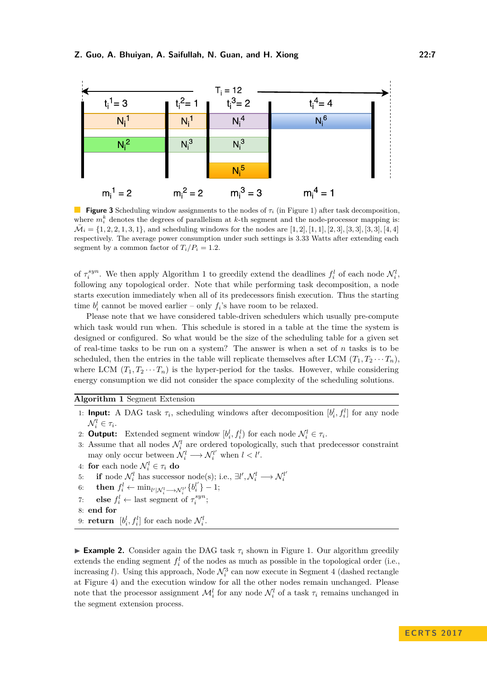<span id="page-7-0"></span>

**Figure 3** Scheduling window assignments to the nodes of *τ<sup>i</sup>* (in Figure [1\)](#page-4-0) after task decomposition, where  $m_i^k$  denotes the degrees of parallelism at  $k$ -th segment and the node-processor mapping is:  $\overline{\mathcal{M}}_i = \{1, 2, 2, 1, 3, 1\}$ , and scheduling windows for the nodes are [1, 2], [1, 1], [2, 3], [3, 3], [3, 3], [4, 4] respectively. The average power consumption under such settings is 3*.*33 Watts after extending each segment by a common factor of  $T_i/P_i = 1.2$ .

of  $\tau_i^{syn}$ . We then apply Algorithm [1](#page-7-1) to greedily extend the deadlines  $f_i^l$  of each node  $\mathcal{N}_i^l$ , following any topological order. Note that while performing task decomposition, a node starts execution immediately when all of its predecessors finish execution. Thus the starting time  $b_i^l$  cannot be moved earlier – only  $f_i$ 's have room to be relaxed.

Please note that we have considered table-driven schedulers which usually pre-compute which task would run when. This schedule is stored in a table at the time the system is designed or configured. So what would be the size of the scheduling table for a given set of real-time tasks to be run on a system? The answer is when a set of *n* tasks is to be scheduled, then the entries in the table will replicate themselves after LCM  $(T_1, T_2 \cdots T_n)$ , where LCM  $(T_1, T_2 \cdots T_n)$  is the hyper-period for the tasks. However, while considering energy consumption we did not consider the space complexity of the scheduling solutions.

#### <span id="page-7-1"></span>**Algorithm 1** Segment Extension

- 1: **Input:** A DAG task  $\tau_i$ , scheduling windows after decomposition  $[b_i^l, f_i^l]$  for any node  $\mathcal{N}_i^l \in \tau_i$ .
- 2: **Output:** Extended segment window  $[b_i^l, f_i^l)$  for each node  $\mathcal{N}_i^l \in \tau_i$ .
- 3: Assume that all nodes  $\mathcal{N}_i^l$  are ordered topologically, such that predecessor constraint may only occur between  $\mathcal{N}_i^l \longrightarrow \mathcal{N}_i^{l'}$  when  $l < l'$ .
- 4: **for** each node  $\mathcal{N}_i^l \in \tau_i$  **do**
- 5: **if** node  $\mathcal{N}_i^l$  has successor node(s); i.e.,  $\exists l', \mathcal{N}_i^l \longrightarrow \mathcal{N}_i^{l'}$
- $\text{6:} \qquad \text{then} \ \ f_i^l \leftarrow \min_{l' \mid \mathcal{N}_i^l \longrightarrow \mathcal{N}_i^{l'}} \{b_i^{l'}\} 1;$
- 7: **else**  $f_i^l \leftarrow$  last segment of  $\tau_i^{syn}$ ;
- 8: **end for**
- 9: **return**  $[b_i^l, f_i^l]$  for each node  $\mathcal{N}_i^l$ .

**Example 2.** Consider again the DAG task  $\tau_i$  shown in Figure [1.](#page-4-0) Our algorithm greedily extends the ending segment  $f_i^l$  of the nodes as much as possible in the topological order (i.e., increasing *l*). Using this approach, Node  $\mathcal{N}_i^3$  can now execute in Segment 4 (dashed rectangle at Figure [4\)](#page-8-1) and the execution window for all the other nodes remain unchanged. Please note that the processor assignment  $\mathcal{M}_i^l$  for any node  $\mathcal{N}_i^l$  of a task  $\tau_i$  remains unchanged in the segment extension process.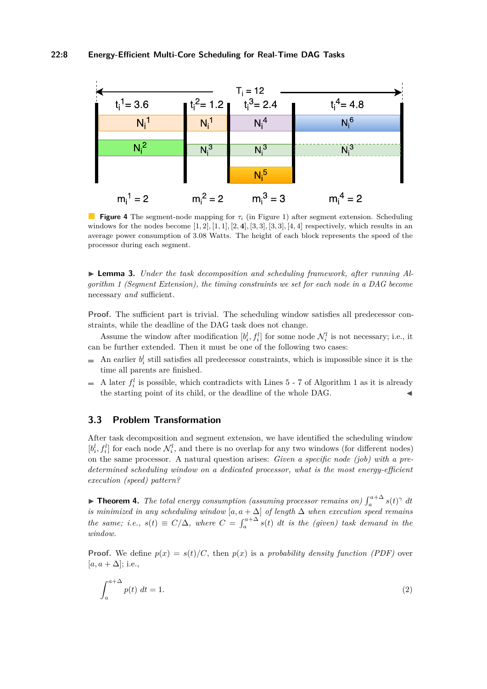<span id="page-8-1"></span>

**Figure 4** The segment-node mapping for *τ<sup>i</sup>* (in Figure [1\)](#page-4-0) after segment extension. Scheduling windows for the nodes become  $[1, 2]$ ,  $[1, 1]$ ,  $[2, 4]$ ,  $[3, 3]$ ,  $[3, 3]$ ,  $[4, 4]$  respectively, which results in an average power consumption of 3.08 Watts. The height of each block represents the speed of the processor during each segment.

<span id="page-8-4"></span>► **Lemma 3.** *Under the task decomposition and scheduling framework, after running Algorithm [1](#page-7-1) (Segment Extension), the timing constraints we set for each node in a DAG become* necessary *and* sufficient*.*

**Proof.** The sufficient part is trivial. The scheduling window satisfies all predecessor constraints, while the deadline of the DAG task does not change.

Assume the window after modification  $[b_i^l, f_i^l]$  for some node  $\mathcal{N}_i^l$  is not necessary; i.e., it can be further extended. Then it must be one of the following two cases:

- An earlier  $b_i^l$  still satisfies all predecessor constraints, which is impossible since it is the time all parents are finished.
- A later  $f_i^l$  is possible, which contradicts with Lines 5 7 of Algorithm 1 as it is already m. the starting point of its child, or the deadline of the whole DAG.

### <span id="page-8-0"></span>**3.3 Problem Transformation**

After task decomposition and segment extension, we have identified the scheduling window  $[b_i^l, f_i^l]$  for each node  $\mathcal{N}_i^l$ , and there is no overlap for any two windows (for different nodes) on the same processor. A natural question arises: *Given a specific node (job) with a predetermined scheduling window on a dedicated processor, what is the most energy-efficient execution (speed) pattern?*

<span id="page-8-3"></span>**Findment 4.** The total energy consumption (assuming processor remains on)  $\int_{a}^{a+\Delta} s(t)^{\gamma} dt$ *a is minimized in any scheduling window* [*a, a* + ∆] *of length*  $\Delta$  *when execution speed remains the same; i.e.,*  $s(t) \equiv C/\Delta$ *, where*  $C = \int_{a}^{a+\Delta} s(t) dt$  *is the (given) task demand in the window.*

**Proof.** We define  $p(x) = s(t)/C$ , then  $p(x)$  is a *probability density function (PDF)* over  $[a, a + \Delta]$ ; i.e.,

<span id="page-8-2"></span>
$$
\int_{a}^{a+\Delta} p(t) \, dt = 1. \tag{2}
$$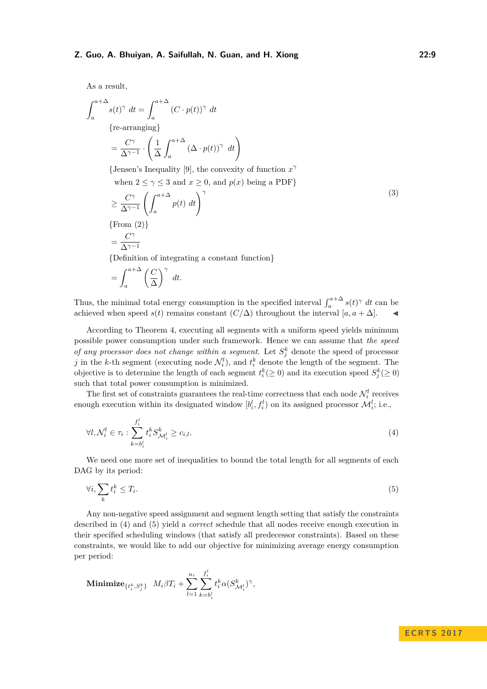As a result,

$$
\int_{a}^{a+\Delta} s(t)^{\gamma} dt = \int_{a}^{a+\Delta} (C \cdot p(t))^{\gamma} dt
$$
  
\n{re-arranging}  
\n
$$
= \frac{C^{\gamma}}{\Delta^{\gamma-1}} \cdot \left(\frac{1}{\Delta} \int_{a}^{a+\Delta} (\Delta \cdot p(t))^{\gamma} dt\right)
$$

{Jensen's Inequality [\[9\]](#page-19-8), the convexity of function  $x^{\gamma}$ 

when  $2 \le \gamma \le 3$  and  $x \ge 0$ , and  $p(x)$  being a PDF}

$$
\geq \frac{C^{\gamma}}{\Delta^{\gamma-1}} \left( \int_{a}^{a+\Delta} p(t) dt \right)^{\gamma}
$$
  
\n{From (2)}  
\n
$$
= \frac{C^{\gamma}}{\Delta^{\gamma-1}}
$$
 (3)

{Definition of integrating a constant function}

$$
=\int_{a}^{a+\Delta}\left(\frac{C}{\Delta}\right)^{\gamma} dt.
$$

Thus, the minimal total energy consumption in the specified interval  $\int_{a}^{a+\Delta} s(t)^\gamma dt$  can be achieved when speed  $s(t)$  remains constant  $(C/\Delta)$  throughout the interval  $[a, a + \Delta]$ .

According to Theorem [4,](#page-8-3) executing all segments with a uniform speed yields minimum possible power consumption under such framework. Hence we can assume that *the speed of any processor does not change within a segment.* Let  $S_j^k$  denote the speed of processor *j* in the *k*-th segment (executing node  $\mathcal{N}_i^l$ ), and  $t_i^k$  denote the length of the segment. The objective is to determine the length of each segment  $t_i^k(\geq 0)$  and its execution speed  $S_j^k(\geq 0)$ such that total power consumption is minimized.

The first set of constraints guarantees the real-time correctness that each node  $\mathcal{N}_i^l$  receives enough execution within its designated window  $[b_i^l, f_i^l)$  on its assigned processor  $\mathcal{M}_i^l$ ; i.e.,

$$
\forall l, \mathcal{N}_i^l \in \tau_i : \sum_{k=b_i^l}^{f_i^l} t_i^k S_{\mathcal{M}_i^l}^k \ge c_{i,l}.
$$
\n
$$
(4)
$$

We need one more set of inequalities to bound the total length for all segments of each DAG by its period:

<span id="page-9-1"></span>
$$
\forall i, \sum_{k} t_i^k \le T_i. \tag{5}
$$

Any non-negative speed assignment and segment length setting that satisfy the constraints described in [\(4\)](#page-9-0) and [\(5\)](#page-9-1) yield a *correct* schedule that all nodes receive enough execution in their specified scheduling windows (that satisfy all predecessor constraints). Based on these constraints, we would like to add our objective for minimizing average energy consumption per period:

$$
\text{Minimize}_{\{t_i^k,S_j^k\}} \ \ M_i\beta T_i + \sum_{l=1}^{n_i}\sum_{k=b_i^l}^{f_i^l}t_i^k\alpha(S_{\mathcal{M}_i^l}^k)^{\gamma},
$$

### <span id="page-9-0"></span>**E C R T S 2 0 1 7**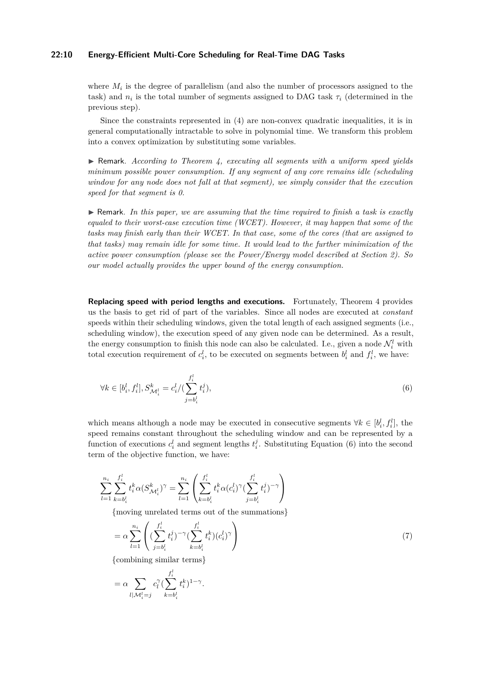#### **22:10 Energy-Efficient Multi-Core Scheduling for Real-Time DAG Tasks**

where  $M_i$  is the degree of parallelism (and also the number of processors assigned to the task) and  $n_i$  is the total number of segments assigned to DAG task  $\tau_i$  (determined in the previous step).

Since the constraints represented in [\(4\)](#page-9-0) are non-convex quadratic inequalities, it is in general computationally intractable to solve in polynomial time. We transform this problem into a convex optimization by substituting some variables.

I Remark. *According to Theorem [4,](#page-8-3) executing all segments with a uniform speed yields minimum possible power consumption. If any segment of any core remains idle (scheduling window for any node does not fall at that segment), we simply consider that the execution speed for that segment is 0.*

 $\triangleright$  Remark. In this paper, we are assuming that the time required to finish a task is exactly *equaled to their worst-case execution time (WCET). However, it may happen that some of the tasks may finish early than their WCET. In that case, some of the cores (that are assigned to that tasks) may remain idle for some time. It would lead to the further minimization of the active power consumption (please see the Power/Energy model described at Section [2\)](#page-3-0). So our model actually provides the upper bound of the energy consumption.*

**Replacing speed with period lengths and executions.** Fortunately, Theorem [4](#page-8-3) provides us the basis to get rid of part of the variables. Since all nodes are executed at *constant* speeds within their scheduling windows, given the total length of each assigned segments (i.e., scheduling window), the execution speed of any given node can be determined. As a result, the energy consumption to finish this node can also be calculated. I.e., given a node  $\mathcal{N}_i^l$  with total execution requirement of  $c_i^l$ , to be executed on segments between  $b_i^l$  and  $f_i^l$ , we have:

<span id="page-10-0"></span>
$$
\forall k \in [b_i^l, f_i^l], S_{\mathcal{M}_i^l}^k = c_i^l / (\sum_{j=b_i^l}^{f_i^l} t_i^j), \tag{6}
$$

which means although a node may be executed in consecutive segments  $\forall k \in [b_i^l, f_i^l]$ , the speed remains constant throughout the scheduling window and can be represented by a function of executions  $c_i^l$  and segment lengths  $t_i^j$ . Substituting Equation [\(6\)](#page-10-0) into the second term of the objective function, we have:

$$
\sum_{l=1}^{n_i} \sum_{k=b_i^l}^{f_i^l} t_i^k \alpha(S_{\mathcal{M}_i^l}^k)^\gamma = \sum_{l=1}^{n_i} \left( \sum_{k=b_i^l}^{f_i^l} t_i^k \alpha(c_i^l)^\gamma (\sum_{j=b_i^l}^{f_i^l} t_i^j)^{-\gamma} \right)
$$

{moving unrelated terms out of the summations}

$$
= \alpha \sum_{l=1}^{n_i} \left( \left( \sum_{j=b_i^l}^{f_i^l} t_i^j \right)^{-\gamma} \left( \sum_{k=b_i^l}^{f_i^l} t_i^k \right) (c_i^l)^{\gamma} \right) \tag{7}
$$

{combining similar terms}

$$
= \alpha \sum_{l \mid \mathcal{M}_i^l = j} c_l^{\gamma} \left( \sum_{k=b_i^l}^{f_i^l} t_i^k \right)^{1-\gamma}.
$$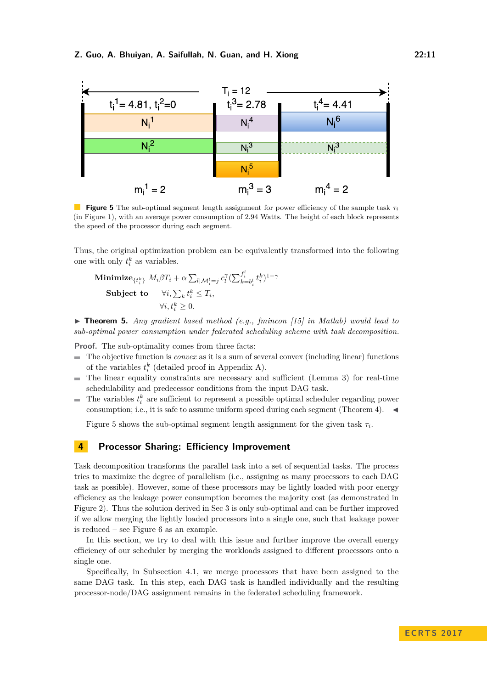<span id="page-11-1"></span>

**Figure 5** The sub-optimal segment length assignment for power efficiency of the sample task *τ<sup>i</sup>* (in Figure [1\)](#page-4-0), with an average power consumption of 2*.*94 Watts. The height of each block represents the speed of the processor during each segment.

Thus, the original optimization problem can be equivalently transformed into the following one with only  $t_i^k$  as variables.

Minimize
$$
{t_i^k}
$$
  $M_i\beta T_i + \alpha \sum_{l|\mathcal{M}_i^l=j} c_l^{\gamma} (\sum_{k=b_i^l}^{f_i^l} t_i^k)^{1-\gamma}$   
Subject to  $\forall i, \sum_k t_i^k \leq T_i$ ,  
 $\forall i, t_i^k \geq 0$ .

▶ **Theorem 5.** *Any gradient based method (e.g., fmincon [\[15\]](#page-19-9) in Matlab) would lead to sub-optimal power consumption under federated scheduling scheme with task decomposition.*

**Proof.** The sub-optimality comes from three facts:

- The objective function is *convex* as it is a sum of several convex (including linear) functions of the variables  $t_i^k$  (detailed proof in Appendix [A\)](#page-20-3).
- The linear equality constraints are necessary and sufficient (Lemma [3\)](#page-8-4) for real-time ÷ schedulability and predecessor conditions from the input DAG task.
- The variables  $t_i^k$  are sufficient to represent a possible optimal scheduler regarding power  $\blacksquare$ consumption; i.e., it is safe to assume uniform speed during each segment (Theorem [4\)](#page-8-3).  $\blacktriangleleft$

Figure [5](#page-11-1) shows the sub-optimal segment length assignment for the given task  $\tau_i$ .

## <span id="page-11-0"></span>**4 Processor Sharing: Efficiency Improvement**

Task decomposition transforms the parallel task into a set of sequential tasks. The process tries to maximize the degree of parallelism (i.e., assigning as many processors to each DAG task as possible). However, some of these processors may be lightly loaded with poor energy efficiency as the leakage power consumption becomes the majority cost (as demonstrated in Figure [2\)](#page-5-1). Thus the solution derived in Sec [3](#page-5-0) is only sub-optimal and can be further improved if we allow merging the lightly loaded processors into a single one, such that leakage power is reduced – see Figure [6](#page-12-0) as an example.

In this section, we try to deal with this issue and further improve the overall energy efficiency of our scheduler by merging the workloads assigned to different processors onto a single one.

Specifically, in Subsection [4.1,](#page-12-1) we merge processors that have been assigned to the same DAG task. In this step, each DAG task is handled individually and the resulting processor-node/DAG assignment remains in the federated scheduling framework.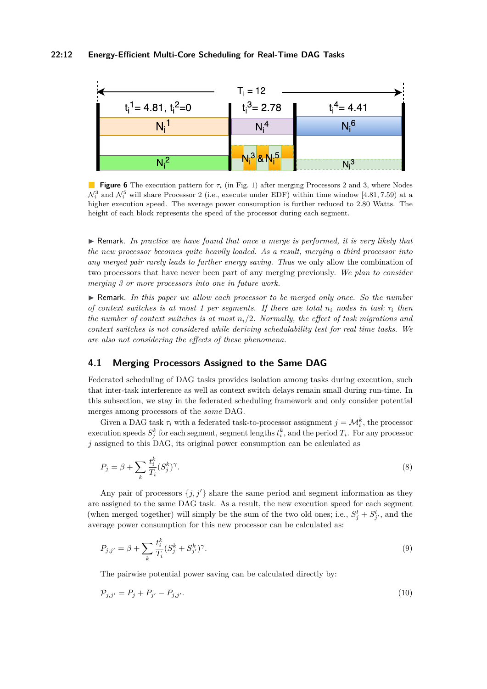<span id="page-12-0"></span>

**Figure 6** The execution pattern for *τ<sup>i</sup>* (in Fig. [1\)](#page-4-0) after merging Processors 2 and 3, where Nodes  $\mathcal{N}_i^3$  and  $\mathcal{N}_i^5$  will share Processor 2 (i.e., execute under EDF) within time window [4.81, 7.59) at a higher execution speed. The average power consumption is further reduced to 2*.*80 Watts. The height of each block represents the speed of the processor during each segment.

 $\triangleright$  Remark. In practice we have found that once a merge is performed, it is very likely that *the new processor becomes quite heavily loaded. As a result, merging a third processor into any merged pair rarely leads to further energy saving. Thus* we only allow the combination of two processors that have never been part of any merging previously. *We plan to consider merging 3 or more processors into one in future work.*

I Remark. *In this paper we allow each processor to be merged only once. So the number of context switches is at most 1 per segments. If there are total*  $n_i$  *nodes in task*  $\tau_i$  *then the number of context switches is at most ni/*2*. Normally, the effect of task migrations and context switches is not considered while deriving schedulability test for real time tasks. We are also not considering the effects of these phenomena.*

## <span id="page-12-1"></span>**4.1 Merging Processors Assigned to the Same DAG**

Federated scheduling of DAG tasks provides isolation among tasks during execution, such that inter-task interference as well as context switch delays remain small during run-time. In this subsection, we stay in the federated scheduling framework and only consider potential merges among processors of the *same* DAG.

Given a DAG task  $\tau_i$  with a federated task-to-processor assignment  $j = \mathcal{M}_i^k$ , the processor execution speeds  $S_j^k$  for each segment, segment lengths  $t_i^k$ , and the period  $T_i$ . For any processor *j* assigned to this DAG, its original power consumption can be calculated as

$$
P_j = \beta + \sum_k \frac{t_i^k}{T_i} (S_j^k)^\gamma.
$$
\n<sup>(8)</sup>

Any pair of processors  $\{j, j'\}$  share the same period and segment information as they are assigned to the same DAG task. As a result, the new execution speed for each segment (when merged together) will simply be the sum of the two old ones; i.e.,  $S_j^l + S_{j'}^l$ , and the average power consumption for this new processor can be calculated as:

$$
P_{j,j'} = \beta + \sum_{k} \frac{t_i^k}{T_i} (S_j^k + S_{j'}^k)^{\gamma}.
$$
\n(9)

<span id="page-12-2"></span>The pairwise potential power saving can be calculated directly by:

$$
\mathcal{P}_{j,j'} = P_j + P_{j'} - P_{j,j'}.\tag{10}
$$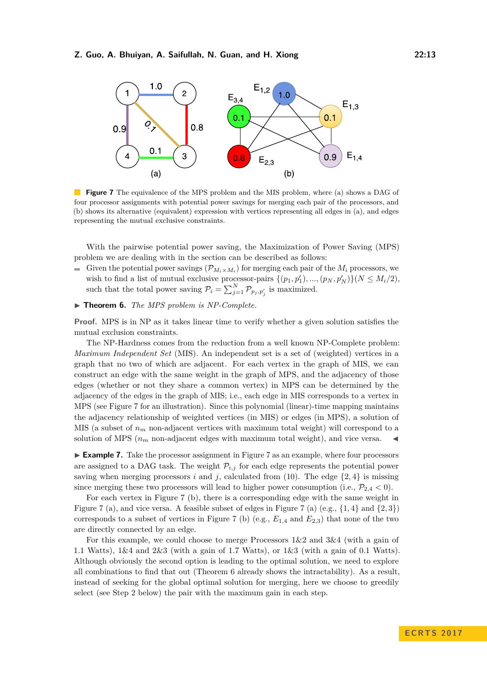<span id="page-13-0"></span>

**Figure 7** The equivalence of the MPS problem and the MIS problem, where (a) shows a DAG of four processor assignments with potential power savings for merging each pair of the processors, and (b) shows its alternative (equivalent) expression with vertices representing all edges in (a), and edges representing the mutual exclusive constraints.

With the pairwise potential power saving, the Maximization of Power Saving (MPS) problem we are dealing with in the section can be described as follows:

- Given the potential power savings  $(\mathcal{P}_{M_i \times M_i})$  for merging each pair of the  $M_i$  processors, we wish to find a list of mutual exclusive processor-pairs  $\{(p_1, p'_1), ..., (p_N, p'_N)\}(N \le M_i/2),$ such that the total power saving  $P_i = \sum_{j=1}^{N} P_{p_j, p'_j}$  is maximized.
- <span id="page-13-1"></span>▶ **Theorem 6.** *The MPS problem is NP-Complete.*

**Proof.** MPS is in NP as it takes linear time to verify whether a given solution satisfies the mutual exclusion constraints.

The NP-Hardness comes from the reduction from a well known NP-Complete problem: *Maximum Independent Set* (MIS). An independent set is a set of (weighted) vertices in a graph that no two of which are adjacent. For each vertex in the graph of MIS, we can construct an edge with the same weight in the graph of MPS, and the adjacency of those edges (whether or not they share a common vertex) in MPS can be determined by the adjacency of the edges in the graph of MIS; i.e., each edge in MIS corresponds to a vertex in MPS (see Figure [7](#page-13-0) for an illustration). Since this polynomial (linear)-time mapping maintains the adjacency relationship of weighted vertices (in MIS) or edges (in MPS), a solution of MIS (a subset of  $n_m$  non-adjacent vertices with maximum total weight) will correspond to a solution of MPS  $(n_m)$  non-adjacent edges with maximum total weight), and vice versa.

► **Example [7](#page-13-0).** Take the processor assignment in Figure 7 as an example, where four processors are assigned to a DAG task. The weight  $\mathcal{P}_{i,j}$  for each edge represents the potential power saving when merging processors *i* and *j*, calculated from [\(10\)](#page-12-2). The edge  $\{2, 4\}$  is missing since merging these two processors will lead to higher power consumption (i.e.,  $\mathcal{P}_{2,4}$  < 0).

For each vertex in Figure [7](#page-13-0) (b), there is a corresponding edge with the same weight in Figure [7](#page-13-0) (a), and vice versa. A feasible subset of edges in Figure 7 (a) (e.g.,  $\{1,4\}$  and  $\{2,3\}$ ) corresponds to a subset of vertices in Figure [7](#page-13-0) (b) (e.g.,  $E_{1,4}$  and  $E_{2,3}$ ) that none of the two are directly connected by an edge.

For this example, we could choose to merge Processors 1&2 and 3&4 (with a gain of 1*.*1 Watts), 1&4 and 2&3 (with a gain of 1*.*7 Watts), or 1&3 (with a gain of 0*.*1 Watts). Although obviously the second option is leading to the optimal solution, we need to explore all combinations to find that out (Theorem [6](#page-13-1) already shows the intractability). As a result, instead of seeking for the global optimal solution for merging, here we choose to greedily select (see Step 2 below) the pair with the maximum gain in each step.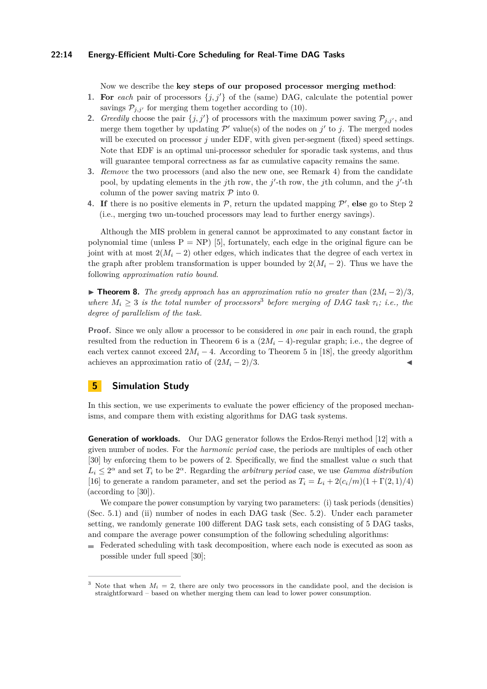#### **22:14 Energy-Efficient Multi-Core Scheduling for Real-Time DAG Tasks**

Now we describe the **key steps of our proposed processor merging method**:

- **1.** For *each* pair of processors  $\{j, j'\}$  of the (same) DAG, calculate the potential power savings  $P_{i,i'}$  for merging them together according to [\(10\)](#page-12-2).
- **2.** *Greedily* choose the pair  $\{j, j'\}$  of processors with the maximum power saving  $\mathcal{P}_{j, j'}$ , and merge them together by updating  $\mathcal{P}'$  value(s) of the nodes on  $j'$  to  $j$ . The merged nodes will be executed on processor *j* under EDF, with given per-segment (fixed) speed settings. Note that EDF is an optimal uni-processor scheduler for sporadic task systems, and thus will guarantee temporal correctness as far as cumulative capacity remains the same.
- **3.** *Remove* the two processors (and also the new one, see Remark [4\)](#page-12-0) from the candidate pool, by updating elements in the *j*th row, the *j'*-th row, the *j*th column, and the *j'*-th column of the power saving matrix  $P$  into 0.
- **4.** If there is no positive elements in  $P$ , return the updated mapping  $P'$ , else go to Step 2 (i.e., merging two un-touched processors may lead to further energy savings).

Although the MIS problem in general cannot be approximated to any constant factor in polynomial time (unless  $P = NP$ ) [\[5\]](#page-18-6), fortunately, each edge in the original figure can be joint with at most  $2(M_i - 2)$  other edges, which indicates that the degree of each vertex in the graph after problem transformation is upper bounded by  $2(M_i - 2)$ . Thus we have the following *approximation ratio bound*.

**► Theorem 8.** *The greedy approach has an approximation ratio no greater than*  $(2M_i-2)/3$ , where  $M_i \geq 3$  $M_i \geq 3$  *is the total number of processors*<sup>3</sup> before merging of DAG task  $\tau_i$ ; *i.e.*, the *degree of parallelism of the task.*

**Proof.** Since we only allow a processor to be considered in *one* pair in each round, the graph resulted from the reduction in Theorem [6](#page-13-1) is a  $(2M_i - 4)$ -regular graph; i.e., the degree of each vertex cannot exceed  $2M_i - 4$ . According to Theorem 5 in [\[18\]](#page-19-10), the greedy algorithm achieves an approximation ratio of  $(2M_i - 2)/3$ .

## <span id="page-14-0"></span>**5 Simulation Study**

In this section, we use experiments to evaluate the power efficiency of the proposed mechanisms, and compare them with existing algorithms for DAG task systems.

**Generation of workloads.** Our DAG generator follows the Erdos-Renyi method [\[12\]](#page-19-11) with a given number of nodes. For the *harmonic period* case, the periods are multiples of each other [\[30\]](#page-20-0) by enforcing them to be powers of 2. Specifically, we find the smallest value  $\alpha$  such that  $L_i \leq 2^{\alpha}$  and set  $T_i$  to be  $2^{\alpha}$ . Regarding the *arbitrary period* case, we use *Gamma distribution* [\[16\]](#page-19-12) to generate a random parameter, and set the period as  $T_i = L_i + 2(c_i/m)(1 + \Gamma(2,1)/4)$ (according to [\[30\]](#page-20-0)).

We compare the power consumption by varying two parameters: (i) task periods (densities) (Sec. [5.1\)](#page-15-0) and (ii) number of nodes in each DAG task (Sec. [5.2\)](#page-16-0). Under each parameter setting, we randomly generate 100 different DAG task sets, each consisting of 5 DAG tasks, and compare the average power consumption of the following scheduling algorithms:

Federated scheduling with task decomposition, where each node is executed as soon as possible under full speed [\[30\]](#page-20-0);

<span id="page-14-1"></span><sup>&</sup>lt;sup>3</sup> Note that when  $M_i = 2$ , there are only two processors in the candidate pool, and the decision is straightforward – based on whether merging them can lead to lower power consumption.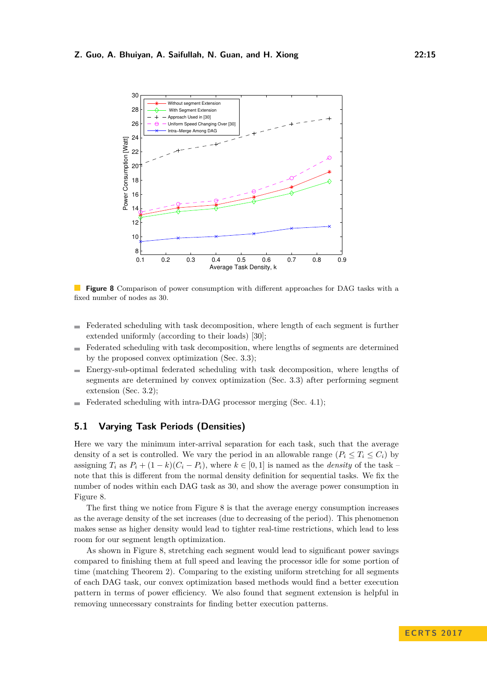<span id="page-15-1"></span>

**Figure 8** Comparison of power consumption with different approaches for DAG tasks with a fixed number of nodes as 30.

- Federated scheduling with task decomposition, where length of each segment is further  $\blacksquare$ extended uniformly (according to their loads) [\[30\]](#page-20-0);
- Federated scheduling with task decomposition, where lengths of segments are determined  $\overline{a}$ by the proposed convex optimization (Sec. [3.3\)](#page-8-0);
- Energy-sub-optimal federated scheduling with task decomposition, where lengths of  $\sim$ segments are determined by convex optimization (Sec. [3.3\)](#page-8-0) after performing segment extension (Sec. [3.2\)](#page-6-0);
- Federated scheduling with intra-DAG processor merging (Sec. [4.1\)](#page-12-1);

## <span id="page-15-0"></span>**5.1 Varying Task Periods (Densities)**

Here we vary the minimum inter-arrival separation for each task, such that the average density of a set is controlled. We vary the period in an allowable range  $(P_i \leq T_i \leq C_i)$  by assigning  $T_i$  as  $P_i + (1 - k)(C_i - P_i)$ , where  $k \in [0, 1]$  is named as the *density* of the task – note that this is different from the normal density definition for sequential tasks. We fix the number of nodes within each DAG task as 30, and show the average power consumption in Figure [8.](#page-15-1)

The first thing we notice from Figure [8](#page-15-1) is that the average energy consumption increases as the average density of the set increases (due to decreasing of the period). This phenomenon makes sense as higher density would lead to tighter real-time restrictions, which lead to less room for our segment length optimization.

As shown in Figure [8,](#page-15-1) stretching each segment would lead to significant power savings compared to finishing them at full speed and leaving the processor idle for some portion of time (matching Theorem 2). Comparing to the existing uniform stretching for all segments of each DAG task, our convex optimization based methods would find a better execution pattern in terms of power efficiency. We also found that segment extension is helpful in removing unnecessary constraints for finding better execution patterns.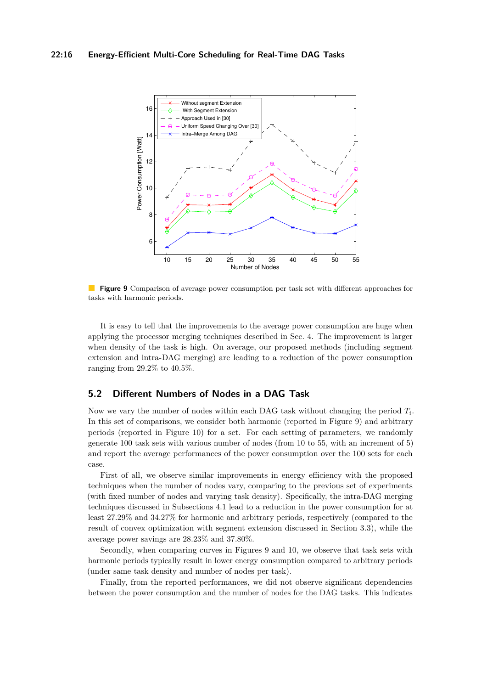<span id="page-16-1"></span>

**Figure 9** Comparison of average power consumption per task set with different approaches for tasks with harmonic periods.

It is easy to tell that the improvements to the average power consumption are huge when applying the processor merging techniques described in Sec. [4.](#page-11-0) The improvement is larger when density of the task is high. On average, our proposed methods (including segment extension and intra-DAG merging) are leading to a reduction of the power consumption ranging from 29*.*2% to 40*.*5%.

## <span id="page-16-0"></span>**5.2 Different Numbers of Nodes in a DAG Task**

Now we vary the number of nodes within each DAG task without changing the period *T<sup>i</sup>* . In this set of comparisons, we consider both harmonic (reported in Figure [9\)](#page-16-1) and arbitrary periods (reported in Figure [10\)](#page-17-1) for a set. For each setting of parameters, we randomly generate 100 task sets with various number of nodes (from 10 to 55, with an increment of 5) and report the average performances of the power consumption over the 100 sets for each case.

First of all, we observe similar improvements in energy efficiency with the proposed techniques when the number of nodes vary, comparing to the previous set of experiments (with fixed number of nodes and varying task density). Specifically, the intra-DAG merging techniques discussed in Subsections [4.1](#page-12-1) lead to a reduction in the power consumption for at least 27.29% and 34.27% for harmonic and arbitrary periods, respectively (compared to the result of convex optimization with segment extension discussed in Section [3.3\)](#page-8-0), while the average power savings are 28*.*23% and 37*.*80%.

Secondly, when comparing curves in Figures [9](#page-16-1) and [10,](#page-17-1) we observe that task sets with harmonic periods typically result in lower energy consumption compared to arbitrary periods (under same task density and number of nodes per task).

Finally, from the reported performances, we did not observe significant dependencies between the power consumption and the number of nodes for the DAG tasks. This indicates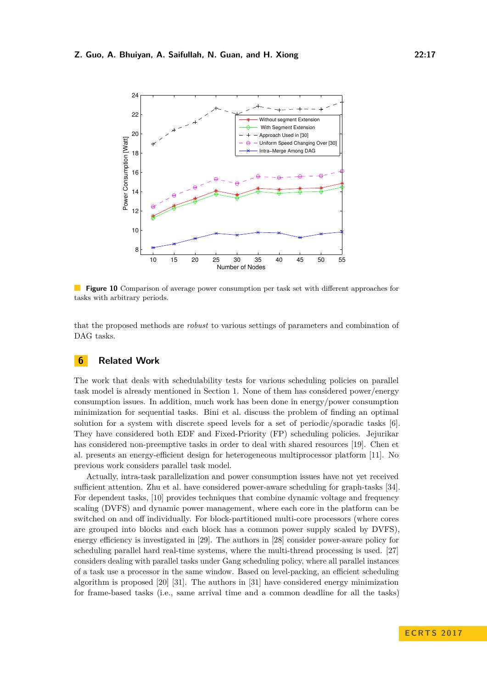<span id="page-17-1"></span>

**Figure 10** Comparison of average power consumption per task set with different approaches for tasks with arbitrary periods.

that the proposed methods are *robust* to various settings of parameters and combination of DAG tasks.

## <span id="page-17-0"></span>**6 Related Work**

The work that deals with schedulability tests for various scheduling policies on parallel task model is already mentioned in Section [1.](#page-1-0) None of them has considered power/energy consumption issues. In addition, much work has been done in energy/power consumption minimization for sequential tasks. Bini et al. discuss the problem of finding an optimal solution for a system with discrete speed levels for a set of periodic/sporadic tasks [\[6\]](#page-18-7). They have considered both EDF and Fixed-Priority (FP) scheduling policies. Jejurikar has considered non-preemptive tasks in order to deal with shared resources [\[19\]](#page-19-13). Chen et al. presents an energy-efficient design for heterogeneous multiprocessor platform [\[11\]](#page-19-14). No previous work considers parallel task model.

Actually, intra-task parallelization and power consumption issues have not yet received sufficient attention. Zhu et al. have considered power-aware scheduling for graph-tasks [\[34\]](#page-20-4). For dependent tasks, [\[10\]](#page-19-15) provides techniques that combine dynamic voltage and frequency scaling (DVFS) and dynamic power management, where each core in the platform can be switched on and off individually. For block-partitioned multi-core processors (where cores are grouped into blocks and each block has a common power supply scaled by DVFS), energy efficiency is investigated in [\[29\]](#page-20-5). The authors in [\[28\]](#page-20-6) consider power-aware policy for scheduling parallel hard real-time systems, where the multi-thread processing is used. [\[27\]](#page-20-7) considers dealing with parallel tasks under Gang scheduling policy, where all parallel instances of a task use a processor in the same window. Based on level-packing, an efficient scheduling algorithm is proposed [\[20\]](#page-19-16) [\[31\]](#page-20-8). The authors in [\[31\]](#page-20-8) have considered energy minimization for frame-based tasks (i.e., same arrival time and a common deadline for all the tasks)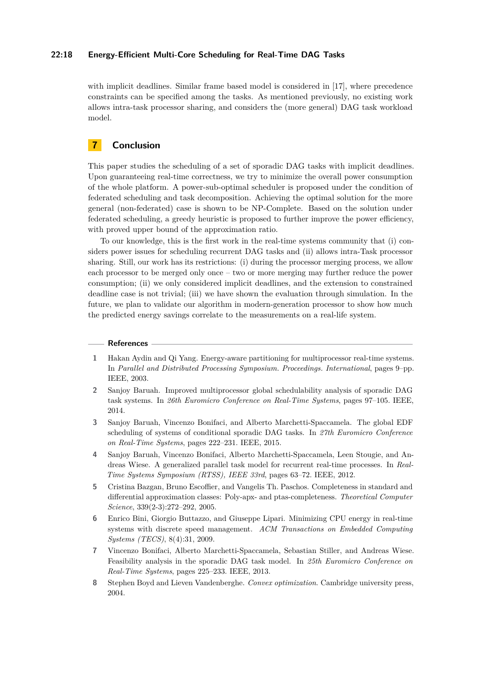#### **22:18 Energy-Efficient Multi-Core Scheduling for Real-Time DAG Tasks**

with implicit deadlines. Similar frame based model is considered in [\[17\]](#page-19-17), where precedence constraints can be specified among the tasks. As mentioned previously, no existing work allows intra-task processor sharing, and considers the (more general) DAG task workload model.

## <span id="page-18-5"></span>**7 Conclusion**

This paper studies the scheduling of a set of sporadic DAG tasks with implicit deadlines. Upon guaranteeing real-time correctness, we try to minimize the overall power consumption of the whole platform. A power-sub-optimal scheduler is proposed under the condition of federated scheduling and task decomposition. Achieving the optimal solution for the more general (non-federated) case is shown to be NP-Complete. Based on the solution under federated scheduling, a greedy heuristic is proposed to further improve the power efficiency, with proved upper bound of the approximation ratio.

To our knowledge, this is the first work in the real-time systems community that (i) considers power issues for scheduling recurrent DAG tasks and (ii) allows intra-Task processor sharing. Still, our work has its restrictions: (i) during the processor merging process, we allow each processor to be merged only once – two or more merging may further reduce the power consumption; (ii) we only considered implicit deadlines, and the extension to constrained deadline case is not trivial; (iii) we have shown the evaluation through simulation. In the future, we plan to validate our algorithm in modern-generation processor to show how much the predicted energy savings correlate to the measurements on a real-life system.

#### **References**

- <span id="page-18-4"></span>**1** Hakan Aydin and Qi Yang. Energy-aware partitioning for multiprocessor real-time systems. In *Parallel and Distributed Processing Symposium. Proceedings. International*, pages 9–pp. IEEE, 2003.
- <span id="page-18-2"></span>**2** Sanjoy Baruah. Improved multiprocessor global schedulability analysis of sporadic DAG task systems. In *26th Euromicro Conference on Real-Time Systems*, pages 97–105. IEEE, 2014.
- <span id="page-18-3"></span>**3** Sanjoy Baruah, Vincenzo Bonifaci, and Alberto Marchetti-Spaccamela. The global EDF scheduling of systems of conditional sporadic DAG tasks. In *27th Euromicro Conference on Real-Time Systems*, pages 222–231. IEEE, 2015.
- <span id="page-18-0"></span>**4** Sanjoy Baruah, Vincenzo Bonifaci, Alberto Marchetti-Spaccamela, Leen Stougie, and Andreas Wiese. A generalized parallel task model for recurrent real-time processes. In *Real-Time Systems Symposium (RTSS), IEEE 33rd*, pages 63–72. IEEE, 2012.
- <span id="page-18-6"></span>**5** Cristina Bazgan, Bruno Escoffier, and Vangelis Th. Paschos. Completeness in standard and differential approximation classes: Poly-apx- and ptas-completeness. *Theoretical Computer Science*, 339(2-3):272–292, 2005.
- <span id="page-18-7"></span>**6** Enrico Bini, Giorgio Buttazzo, and Giuseppe Lipari. Minimizing CPU energy in real-time systems with discrete speed management. *ACM Transactions on Embedded Computing Systems (TECS)*, 8(4):31, 2009.
- <span id="page-18-1"></span>**7** Vincenzo Bonifaci, Alberto Marchetti-Spaccamela, Sebastian Stiller, and Andreas Wiese. Feasibility analysis in the sporadic DAG task model. In *25th Euromicro Conference on Real-Time Systems*, pages 225–233. IEEE, 2013.
- <span id="page-18-8"></span>**8** Stephen Boyd and Lieven Vandenberghe. *Convex optimization*. Cambridge university press, 2004.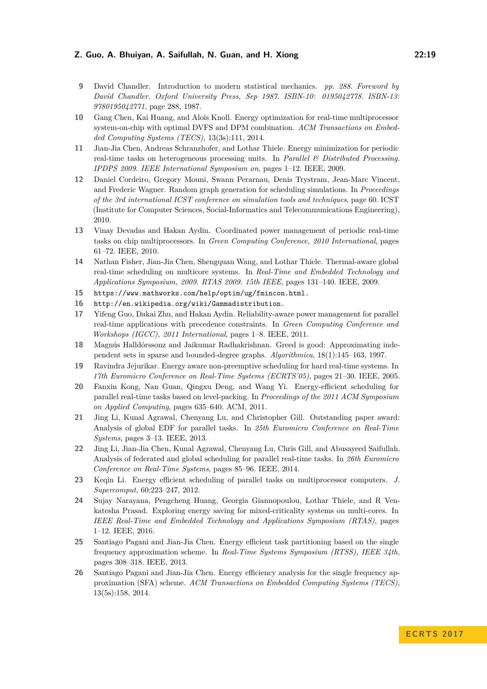- <span id="page-19-8"></span>**9** David Chandler. Introduction to modern statistical mechanics. *pp. 288. Foreword by David Chandler. Oxford University Press, Sep 1987. ISBN-10: 0195042778. ISBN-13: 9780195042771*, page 288, 1987.
- <span id="page-19-15"></span>**10** Gang Chen, Kai Huang, and Alois Knoll. Energy optimization for real-time multiprocessor system-on-chip with optimal DVFS and DPM combination. *ACM Transactions on Embedded Computing Systems (TECS)*, 13(3s):111, 2014.
- <span id="page-19-14"></span>**11** Jian-Jia Chen, Andreas Schranzhofer, and Lothar Thiele. Energy minimization for periodic real-time tasks on heterogeneous processing units. In *Parallel & Distributed Processing. IPDPS 2009. IEEE International Symposium on*, pages 1–12. IEEE, 2009.
- <span id="page-19-11"></span>**12** Daniel Cordeiro, Gregory Mouni, Swann Perarnau, Denis Trystram, Jean-Marc Vincent, and Frederic Wagner. Random graph generation for scheduling simulations. In *Proceedings of the 3rd international ICST conference on simulation tools and techniques*, page 60. ICST (Institute for Computer Sciences, Social-Informatics and Telecommunications Engineering), 2010.
- <span id="page-19-6"></span>**13** Vinay Devadas and Hakan Aydin. Coordinated power management of periodic real-time tasks on chip multiprocessors. In *Green Computing Conference, 2010 International*, pages 61–72. IEEE, 2010.
- <span id="page-19-3"></span>**14** Nathan Fisher, Jian-Jia Chen, Shengquan Wang, and Lothar Thiele. Thermal-aware global real-time scheduling on multicore systems. In *Real-Time and Embedded Technology and Applications Symposium, 2009. RTAS 2009. 15th IEEE*, pages 131–140. IEEE, 2009.
- <span id="page-19-9"></span>**15** <https://www.mathworks.com/help/optim/ug/fmincon.html.>
- <span id="page-19-12"></span>**16** [http://en.wikipedia.org/wiki/Gammadistribution.](http://en.wikipedia.org/wiki/Gamma distribution.)
- <span id="page-19-17"></span>**17** Yifeng Guo, Dakai Zhu, and Hakan Aydin. Reliability-aware power management for parallel real-time applications with precedence constraints. In *Green Computing Conference and Workshops (IGCC), 2011 International*, pages 1–8. IEEE, 2011.
- <span id="page-19-10"></span>**18** Magnús Halldórssonz and Jaikumar Radhakrishnan. Greed is good: Approximating independent sets in sparse and bounded-degree graphs. *Algorithmica*, 18(1):145–163, 1997.
- <span id="page-19-13"></span>**19** Ravindra Jejurikar. Energy aware non-preemptive scheduling for hard real-time systems. In *17th Euromicro Conference on Real-Time Systems (ECRTS'05)*, pages 21–30. IEEE, 2005.
- <span id="page-19-16"></span>**20** Fanxin Kong, Nan Guan, Qingxu Deng, and Wang Yi. Energy-efficient scheduling for parallel real-time tasks based on level-packing. In *Proceedings of the 2011 ACM Symposium on Applied Computing*, pages 635–640. ACM, 2011.
- <span id="page-19-1"></span>**21** Jing Li, Kunal Agrawal, Chenyang Lu, and Christopher Gill. Outstanding paper award: Analysis of global EDF for parallel tasks. In *25th Euromicro Conference on Real-Time Systems*, pages 3–13. IEEE, 2013.
- <span id="page-19-2"></span>**22** Jing Li, Jian-Jia Chen, Kunal Agrawal, Chenyang Lu, Chris Gill, and Abusayeed Saifullah. Analysis of federated and global scheduling for parallel real-time tasks. In *26th Euromicro Conference on Real-Time Systems*, pages 85–96. IEEE, 2014.
- <span id="page-19-7"></span>**23** Keqin Li. Energy efficient scheduling of parallel tasks on multiprocessor computers. *J. Supercomput*, 60:223–247, 2012.
- <span id="page-19-5"></span>**24** Sujay Narayana, Pengcheng Huang, Georgia Giannopoulou, Lothar Thiele, and R Venkatesha Prasad. Exploring energy saving for mixed-criticality systems on multi-cores. In *IEEE Real-Time and Embedded Technology and Applications Symposium (RTAS)*, pages 1–12. IEEE, 2016.
- <span id="page-19-0"></span>**25** Santiago Pagani and Jian-Jia Chen. Energy efficient task partitioning based on the single frequency approximation scheme. In *Real-Time Systems Symposium (RTSS), IEEE 34th*, pages 308–318. IEEE, 2013.
- <span id="page-19-4"></span>**26** Santiago Pagani and Jian-Jia Chen. Energy efficiency analysis for the single frequency approximation (SFA) scheme. *ACM Transactions on Embedded Computing Systems (TECS)*, 13(5s):158, 2014.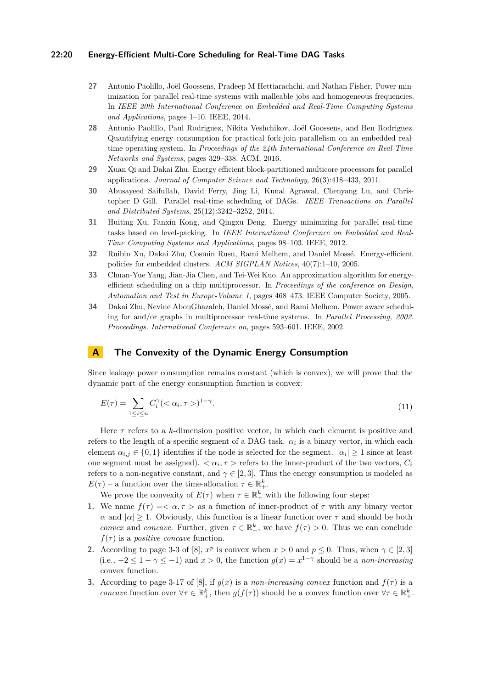#### **22:20 Energy-Efficient Multi-Core Scheduling for Real-Time DAG Tasks**

- <span id="page-20-7"></span>**27** Antonio Paolillo, Joël Goossens, Pradeep M Hettiarachchi, and Nathan Fisher. Power minimization for parallel real-time systems with malleable jobs and homogeneous frequencies. In *IEEE 20th International Conference on Embedded and Real-Time Computing Systems and Applications*, pages 1–10. IEEE, 2014.
- <span id="page-20-6"></span>**28** Antonio Paolillo, Paul Rodriguez, Nikita Veshchikov, Joël Goossens, and Ben Rodriguez. Quantifying energy consumption for practical fork-join parallelism on an embedded realtime operating system. In *Proceedings of the 24th International Conference on Real-Time Networks and Systems*, pages 329–338. ACM, 2016.
- <span id="page-20-5"></span>**29** Xuan Qi and Dakai Zhu. Energy efficient block-partitioned multicore processors for parallel applications. *Journal of Computer Science and Technology*, 26(3):418–433, 2011.
- <span id="page-20-0"></span>**30** Abusayeed Saifullah, David Ferry, Jing Li, Kunal Agrawal, Chenyang Lu, and Christopher D Gill. Parallel real-time scheduling of DAGs. *IEEE Transactions on Parallel and Distributed Systems*, 25(12):3242–3252, 2014.
- <span id="page-20-8"></span>**31** Huiting Xu, Fanxin Kong, and Qingxu Deng. Energy minimizing for parallel real-time tasks based on level-packing. In *IEEE International Conference on Embedded and Real-Time Computing Systems and Applications*, pages 98–103. IEEE, 2012.
- <span id="page-20-2"></span>**32** Ruibin Xu, Dakai Zhu, Cosmin Rusu, Rami Melhem, and Daniel Mossé. Energy-efficient policies for embedded clusters. *ACM SIGPLAN Notices*, 40(7):1–10, 2005.
- <span id="page-20-1"></span>**33** Chuan-Yue Yang, Jian-Jia Chen, and Tei-Wei Kuo. An approximation algorithm for energyefficient scheduling on a chip multiprocessor. In *Proceedings of the conference on Design, Automation and Test in Europe-Volume 1*, pages 468–473. IEEE Computer Society, 2005.
- <span id="page-20-4"></span>**34** Dakai Zhu, Nevine AbouGhazaleh, Daniel Mossé, and Rami Melhem. Power aware scheduling for and/or graphs in multiprocessor real-time systems. In *Parallel Processing, 2002. Proceedings. International Conference on*, pages 593–601. IEEE, 2002.

## <span id="page-20-3"></span>**A The Convexity of the Dynamic Energy Consumption**

Since leakage power consumption remains constant (which is convex), we will prove that the dynamic part of the energy consumption function is convex:

$$
E(\tau) = \sum_{1 \le i \le n} C_i^{\gamma} \langle \langle \alpha_i, \tau \rangle \rangle^{1-\gamma}.
$$
\n(11)

Here *τ* refers to a *k*-dimension positive vector, in which each element is positive and refers to the length of a specific segment of a DAG task.  $\alpha_i$  is a binary vector, in which each element  $\alpha_{i,j} \in \{0,1\}$  identifies if the node is selected for the segment.  $|\alpha_i| \geq 1$  since at least one segment must be assigned).  $\langle \alpha_i, \tau \rangle$  refers to the inner-product of the two vectors,  $C_i$ refers to a non-negative constant, and  $\gamma \in [2, 3]$ . Thus the energy consumption is modeled as  $E(\tau)$  – a function over the time-allocation  $\tau \in \mathbb{R}^k_+$ .

We prove the convexity of  $E(\tau)$  when  $\tau \in \mathbb{R}^k_+$  with the following four steps:

- **1.** We name  $f(\tau) = \langle \alpha, \tau \rangle$  as a function of inner-product of  $\tau$  with any binary vector *α* and  $|α| \ge 1$ . Obviously, this function is a linear function over  $τ$  and should be both *convex* and *concave*. Further, given  $\tau \in \mathbb{R}^k_+$ , we have  $f(\tau) > 0$ . Thus we can conclude  $f(\tau)$  is a *positive concave* function.
- **2.** According to page 3-3 of [\[8\]](#page-18-8),  $x^p$  is convex when  $x > 0$  and  $p \le 0$ . Thus, when  $\gamma \in [2, 3]$ (i.e.,  $-2 \leq 1 - \gamma \leq -1$ ) and  $x > 0$ , the function  $g(x) = x^{1-\gamma}$  should be a *non-increasing* convex function.
- **3.** According to page 3-17 of [\[8\]](#page-18-8), if  $g(x)$  is a *non-increasing convex* function and  $f(\tau)$  is a *concave* function over  $\forall \tau \in \mathbb{R}^k_+$ , then  $g(f(\tau))$  should be a convex function over  $\forall \tau \in \mathbb{R}^k_+$ .